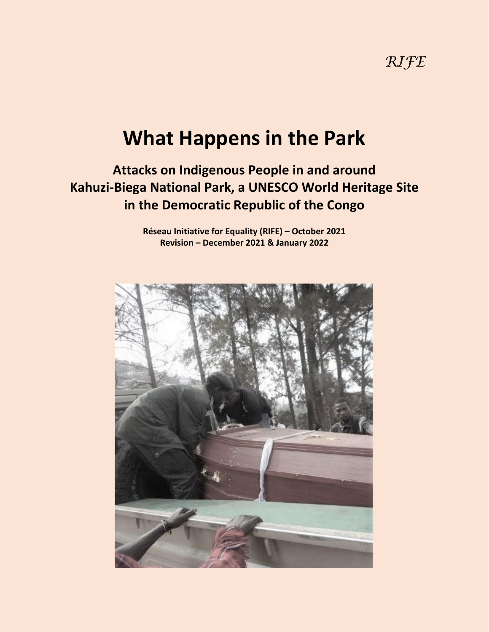# **What Happens in the Park**

# **Attacks on Indigenous People in and around Kahuzi-Biega National Park, a UNESCO World Heritage Site in the Democratic Republic of the Congo**

**Réseau Initiative for Equality (RIFE) – October 2021 Revision – December 2021 & January 2022**

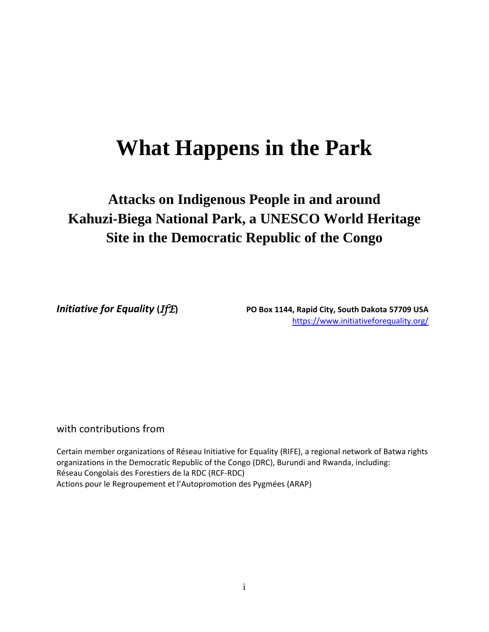# **What Happens in the Park**

# **Attacks on Indigenous People in and around Kahuzi-Biega National Park, a UNESCO World Heritage Site in the Democratic Republic of the Congo**

*Initiative for Equality* **(***IfE***) PO Box 1144, Rapid City, South Dakota 57709 USA** <https://www.initiativeforequality.org/>

## with contributions from

Certain member organizations of Réseau Initiative for Equality (RIFE), a regional network of Batwa rights organizations in the Democratic Republic of the Congo (DRC), Burundi and Rwanda, including: Réseau Congolais des Forestiers de la RDC (RCF-RDC) Actions pour le Regroupement et l'Autopromotion des Pygmées (ARAP)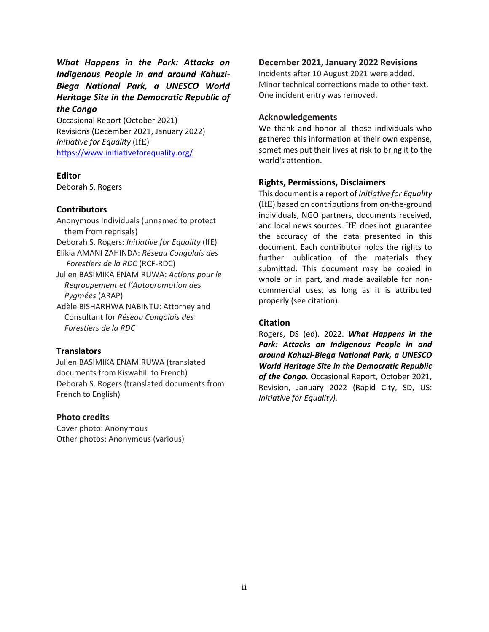*What Happens in the Park: Attacks on Indigenous People in and around Kahuzi-Biega National Park, a UNESCO World Heritage Site in the Democratic Republic of the Congo*

Occasional Report (October 2021) Revisions (December 2021, January 2022) *Initiative for Equality* (IfE) <https://www.initiativeforequality.org/>

#### **Editor**

Deborah S. Rogers

#### **Contributors**

Anonymous Individuals (unnamed to protect them from reprisals) Deborah S. Rogers: *Initiative for Equality* (IfE) Elikia AMANI ZAHINDA: *Réseau Congolais des Forestiers de la RDC* (RCF-RDC) Julien BASIMIKA ENAMIRUWA: *Actions pour le Regroupement et l'Autopromotion des Pygmées* (ARAP) Adèle BISHARHWA NABINTU: Attorney and Consultant for *Réseau Congolais des*

#### **Translators**

 *Forestiers de la RDC*

Julien BASIMIKA ENAMIRUWA (translated documents from Kiswahili to French) Deborah S. Rogers (translated documents from French to English)

#### **Photo credits**

Cover photo: Anonymous Other photos: Anonymous (various)

#### **December 2021, January 2022 Revisions**

Incidents after 10 August 2021 were added. Minor technical corrections made to other text. One incident entry was removed.

#### **Acknowledgements**

We thank and honor all those individuals who gathered this information at their own expense, sometimes put their lives at risk to bring it to the world's attention.

#### **Rights, Permissions, Disclaimers**

This document is a report of *Initiative for Equality* (IfE) based on contributions from on-the-ground individuals, NGO partners, documents received, and local news sources. IfE does not guarantee the accuracy of the data presented in this document. Each contributor holds the rights to further publication of the materials they submitted. This document may be copied in whole or in part, and made available for noncommercial uses, as long as it is attributed properly (see citation).

#### **Citation**

Rogers, DS (ed). 2022. *What Happens in the Park: Attacks on Indigenous People in and around Kahuzi-Biega National Park, a UNESCO World Heritage Site in the Democratic Republic of the Congo.* Occasional Report, October 2021, Revision, January 2022 (Rapid City, SD, US: *Initiative for Equality).*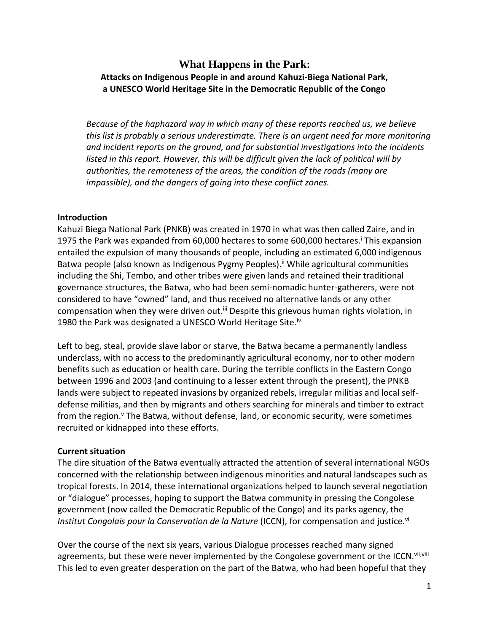## **What Happens in the Park: Attacks on Indigenous People in and around Kahuzi-Biega National Park, a UNESCO World Heritage Site in the Democratic Republic of the Congo**

*Because of the haphazard way in which many of these reports reached us, we believe this list is probably a serious underestimate. There is an urgent need for more monitoring and incident reports on the ground, and for substantial investigations into the incidents listed in this report. However, this will be difficult given the lack of political will by authorities, the remoteness of the areas, the condition of the roads (many are impassible), and the dangers of going into these conflict zones.*

#### **Introduction**

Kahuzi Biega National Park (PNKB) was created in 1970 in what was then called Zaire, and in 1975 the Park was expanded from 60,000 hectares to some 600,000 hectares.<sup>i</sup> This expansion entailed the expulsion of many thousands of people, including an estimated 6,000 indigenous Batwa people (also known as Indigenous Pygmy Peoples).<sup>ii</sup> While agricultural communities including the Shi, Tembo, and other tribes were given lands and retained their traditional governance structures, the Batwa, who had been semi-nomadic hunter-gatherers, were not considered to have "owned" land, and thus received no alternative lands or any other compensation when they were driven out.<sup>iii</sup> Despite this grievous human rights violation, in 1980 the Park was designated a UNESCO World Heritage Site.<sup>iv</sup>

Left to beg, steal, provide slave labor or starve, the Batwa became a permanently landless underclass, with no access to the predominantly agricultural economy, nor to other modern benefits such as education or health care. During the terrible conflicts in the Eastern Congo between 1996 and 2003 (and continuing to a lesser extent through the present), the PNKB lands were subject to repeated invasions by organized rebels, irregular militias and local selfdefense militias, and then by migrants and others searching for minerals and timber to extract from the region.<sup>v</sup> The Batwa, without defense, land, or economic security, were sometimes recruited or kidnapped into these efforts.

### **Current situation**

The dire situation of the Batwa eventually attracted the attention of several international NGOs concerned with the relationship between indigenous minorities and natural landscapes such as tropical forests. In 2014, these international organizations helped to launch several negotiation or "dialogue" processes, hoping to support the Batwa community in pressing the Congolese government (now called the Democratic Republic of the Congo) and its parks agency, the *Institut Congolais pour la Conservation de la Nature* (ICCN), for compensation and justice.<sup>vi</sup>

Over the course of the next six years, various Dialogue processes reached many signed agreements, but these were never implemented by the Congolese government or the ICCN. Vii, Viii This led to even greater desperation on the part of the Batwa, who had been hopeful that they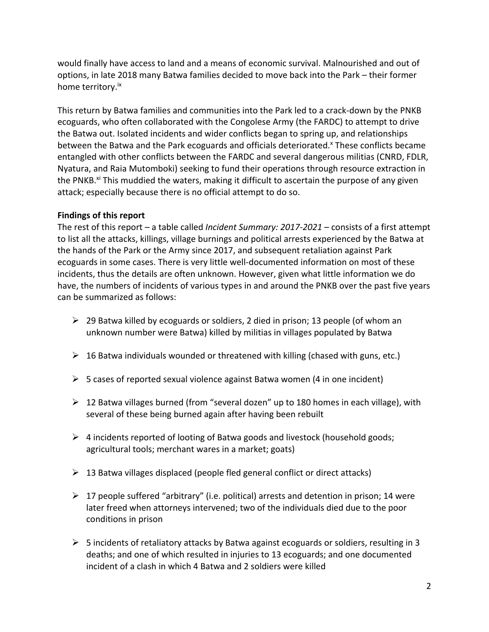would finally have access to land and a means of economic survival. Malnourished and out of options, in late 2018 many Batwa families decided to move back into the Park – their former home territory.<sup>ix</sup>

This return by Batwa families and communities into the Park led to a crack-down by the PNKB ecoguards, who often collaborated with the Congolese Army (the FARDC) to attempt to drive the Batwa out. Isolated incidents and wider conflicts began to spring up, and relationships between the Batwa and the Park ecoguards and officials deteriorated.<sup>x</sup> These conflicts became entangled with other conflicts between the FARDC and several dangerous militias (CNRD, FDLR, Nyatura, and Raia Mutomboki) seeking to fund their operations through resource extraction in the PNKB.<sup>xi</sup> This muddied the waters, making it difficult to ascertain the purpose of any given attack; especially because there is no official attempt to do so.

### **Findings of this report**

The rest of this report – a table called *Incident Summary: 2017-2021* – consists of a first attempt to list all the attacks, killings, village burnings and political arrests experienced by the Batwa at the hands of the Park or the Army since 2017, and subsequent retaliation against Park ecoguards in some cases. There is very little well-documented information on most of these incidents, thus the details are often unknown. However, given what little information we do have, the numbers of incidents of various types in and around the PNKB over the past five years can be summarized as follows:

- $\geq 29$  Batwa killed by ecoguards or soldiers, 2 died in prison; 13 people (of whom an unknown number were Batwa) killed by militias in villages populated by Batwa
- $\triangleright$  16 Batwa individuals wounded or threatened with killing (chased with guns, etc.)
- $\triangleright$  5 cases of reported sexual violence against Batwa women (4 in one incident)
- $\triangleright$  12 Batwa villages burned (from "several dozen" up to 180 homes in each village), with several of these being burned again after having been rebuilt
- $\triangleright$  4 incidents reported of looting of Batwa goods and livestock (household goods; agricultural tools; merchant wares in a market; goats)
- $\triangleright$  13 Batwa villages displaced (people fled general conflict or direct attacks)
- $\triangleright$  17 people suffered "arbitrary" (i.e. political) arrests and detention in prison; 14 were later freed when attorneys intervened; two of the individuals died due to the poor conditions in prison
- $\triangleright$  5 incidents of retaliatory attacks by Batwa against ecoguards or soldiers, resulting in 3 deaths; and one of which resulted in injuries to 13 ecoguards; and one documented incident of a clash in which 4 Batwa and 2 soldiers were killed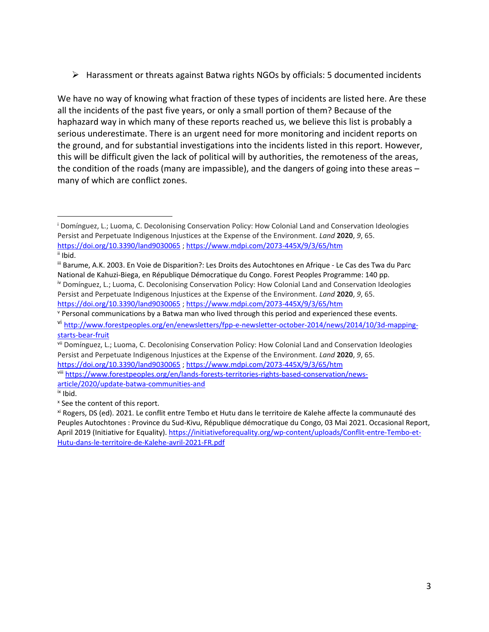$\triangleright$  Harassment or threats against Batwa rights NGOs by officials: 5 documented incidents

We have no way of knowing what fraction of these types of incidents are listed here. Are these all the incidents of the past five years, or only a small portion of them? Because of the haphazard way in which many of these reports reached us, we believe this list is probably a serious underestimate. There is an urgent need for more monitoring and incident reports on the ground, and for substantial investigations into the incidents listed in this report. However, this will be difficult given the lack of political will by authorities, the remoteness of the areas, the condition of the roads (many are impassible), and the dangers of going into these areas – many of which are conflict zones.

<https://doi.org/10.3390/land9030065> [; https://www.mdpi.com/2073-445X/9/3/65/htm](https://www.mdpi.com/2073-445X/9/3/65/htm)

<sup>&</sup>lt;sup>i</sup> Domínguez, L.; Luoma, C. Decolonising Conservation Policy: How Colonial Land and Conservation Ideologies Persist and Perpetuate Indigenous Injustices at the Expense of the Environment. *Land* **2020**, *9*, 65. <https://doi.org/10.3390/land9030065> [; https://www.mdpi.com/2073-445X/9/3/65/htm](https://www.mdpi.com/2073-445X/9/3/65/htm) ii Ibid.

iii Barume, A.K. 2003. En Voie de Disparition?: Les Droits des Autochtones en Afrique - Le Cas des Twa du Parc National de Kahuzi-Biega, en République Démocratique du Congo. Forest Peoples Programme: 140 pp. iv Domínguez, L.; Luoma, C. Decolonising Conservation Policy: How Colonial Land and Conservation Ideologies Persist and Perpetuate Indigenous Injustices at the Expense of the Environment. *Land* **2020**, *9*, 65.

<sup>v</sup> Personal communications by a Batwa man who lived through this period and experienced these events.

vi [http://www.forestpeoples.org/en/enewsletters/fpp-e-newsletter-october-2014/news/2014/10/3d-mapping](http://www.forestpeoples.org/en/enewsletters/fpp-e-newsletter-october-2014/news/2014/10/3d-mapping-starts-bear-fruit)[starts-bear-fruit](http://www.forestpeoples.org/en/enewsletters/fpp-e-newsletter-october-2014/news/2014/10/3d-mapping-starts-bear-fruit)

vii Domínguez, L.; Luoma, C. Decolonising Conservation Policy: How Colonial Land and Conservation Ideologies Persist and Perpetuate Indigenous Injustices at the Expense of the Environment. *Land* **2020**, *9*, 65. <https://doi.org/10.3390/land9030065> [; https://www.mdpi.com/2073-445X/9/3/65/htm](https://www.mdpi.com/2073-445X/9/3/65/htm)

viii [https://www.forestpeoples.org/en/lands-forests-territories-rights-based-conservation/news](https://www.forestpeoples.org/en/lands-forests-territories-rights-based-conservation/news-article/2020/update-batwa-communities-and)[article/2020/update-batwa-communities-and](https://www.forestpeoples.org/en/lands-forests-territories-rights-based-conservation/news-article/2020/update-batwa-communities-and)

ix Ibid.

x See the content of this report.

xi Rogers, DS (ed). 2021. Le conflit entre Tembo et Hutu dans le territoire de Kalehe affecte la communauté des Peuples Autochtones : Province du Sud-Kivu, République démocratique du Congo, 03 Mai 2021. Occasional Report, April 2019 (Initiative for Equality). [https://initiativeforequality.org/wp-content/uploads/Conflit-entre-Tembo-et-](https://initiativeforequality.org/wp-content/uploads/Conflit-entre-Tembo-et-Hutu-dans-le-territoire-de-Kalehe-avril-2021-FR.pdf)[Hutu-dans-le-territoire-de-Kalehe-avril-2021-FR.pdf](https://initiativeforequality.org/wp-content/uploads/Conflit-entre-Tembo-et-Hutu-dans-le-territoire-de-Kalehe-avril-2021-FR.pdf)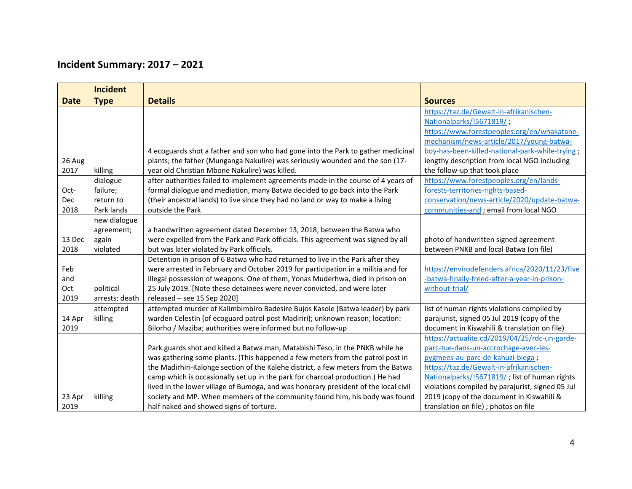# **Incident Summary: 2017 – 2021**

|             | <b>Incident</b> |                                                                                     |                                                  |
|-------------|-----------------|-------------------------------------------------------------------------------------|--------------------------------------------------|
| <b>Date</b> | <b>Type</b>     | <b>Details</b>                                                                      | <b>Sources</b>                                   |
|             |                 |                                                                                     | https://taz.de/Gewalt-in-afrikanischen-          |
|             |                 |                                                                                     | Nationalparks/!5671819/;                         |
|             |                 |                                                                                     | https://www.forestpeoples.org/en/whakatane-      |
|             |                 |                                                                                     | mechanism/news-article/2017/young-batwa-         |
|             |                 | 4 ecoguards shot a father and son who had gone into the Park to gather medicinal    | boy-has-been-killed-national-park-while-trying;  |
| 26 Aug      |                 | plants; the father (Munganga Nakulire) was seriously wounded and the son (17-       | lengthy description from local NGO including     |
| 2017        | killing         | year old Christian Mbone Nakulire) was killed.                                      | the follow-up that took place                    |
|             | dialogue        | after authorities failed to implement agreements made in the course of 4 years of   | https://www.forestpeoples.org/en/lands-          |
| Oct-        | failure;        | formal dialogue and mediation, many Batwa decided to go back into the Park          | forests-territories-rights-based-                |
| <b>Dec</b>  | return to       | (their ancestral lands) to live since they had no land or way to make a living      | conservation/news-article/2020/update-batwa-     |
| 2018        | Park lands      | outside the Park                                                                    | communities-and ; email from local NGO           |
|             | new dialogue    |                                                                                     |                                                  |
|             | agreement;      | a handwritten agreement dated December 13, 2018, between the Batwa who              |                                                  |
| 13 Dec      | again           | were expelled from the Park and Park officials. This agreement was signed by all    | photo of handwritten signed agreement            |
| 2018        | violated        | but was later violated by Park officials.                                           | between PNKB and local Batwa (on file)           |
|             |                 | Detention in prison of 6 Batwa who had returned to live in the Park after they      |                                                  |
| Feb         |                 | were arrested in February and October 2019 for participation in a militia and for   | https://envirodefenders.africa/2020/11/23/five   |
| and         |                 | illegal possession of weapons. One of them, Yonas Muderhwa, died in prison on       | -batwa-finally-freed-after-a-year-in-prison-     |
| Oct         | political       | 25 July 2019. [Note these detainees were never convicted, and were later            | without-trial/                                   |
| 2019        | arrests; death  | released $-$ see 15 Sep 2020]                                                       |                                                  |
|             | attempted       | attempted murder of Kalimbimbiro Badesire Bujos Kasole (Batwa leader) by park       | list of human rights violations compiled by      |
| 14 Apr      | killing         | warden Celestin (of ecoguard patrol post Madiriri); unknown reason; location:       | parajurist, signed 05 Jul 2019 (copy of the      |
| 2019        |                 | Bilorho / Maziba; authorities were informed but no follow-up                        | document in Kiswahili & translation on file)     |
|             |                 |                                                                                     | https://actualite.cd/2019/04/25/rdc-un-garde-    |
|             |                 | Park guards shot and killed a Batwa man, Matabishi Teso, in the PNKB while he       | parc-tue-dans-un-accrochage-avec-les-            |
|             |                 | was gathering some plants. (This happened a few meters from the patrol post in      | pygmees-au-parc-de-kahuzi-biega;                 |
|             |                 | the Madirhiri-Kalonge section of the Kalehe district, a few meters from the Batwa   | https://taz.de/Gewalt-in-afrikanischen-          |
|             |                 | camp which is occasionally set up in the park for charcoal production.) He had      | Nationalparks/!5671819/; list of human rights    |
|             |                 | lived in the lower village of Bumoga, and was honorary president of the local civil | violations compiled by parajurist, signed 05 Jul |
| 23 Apr      | killing         | society and MP. When members of the community found him, his body was found         | 2019 (copy of the document in Kiswahili &        |
| 2019        |                 | half naked and showed signs of torture.                                             | translation on file) ; photos on file            |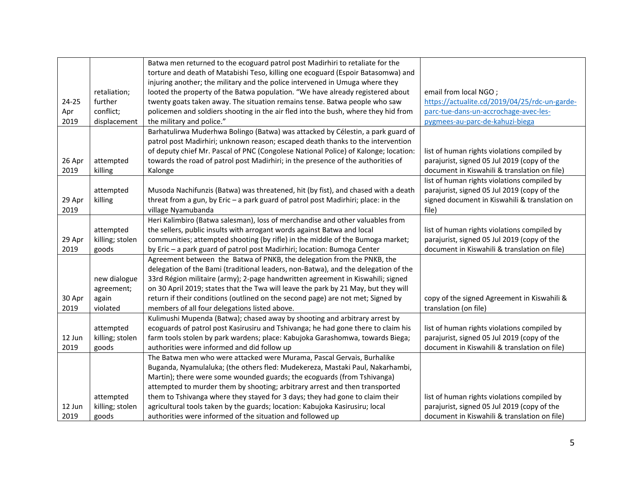|        |                 | Batwa men returned to the ecoguard patrol post Madirhiri to retaliate for the       |                                               |
|--------|-----------------|-------------------------------------------------------------------------------------|-----------------------------------------------|
|        |                 | torture and death of Matabishi Teso, killing one ecoguard (Espoir Batasomwa) and    |                                               |
|        |                 | injuring another; the military and the police intervened in Umuga where they        |                                               |
|        | retaliation;    | looted the property of the Batwa population. "We have already registered about      | email from local NGO;                         |
| 24-25  | further         | twenty goats taken away. The situation remains tense. Batwa people who saw          | https://actualite.cd/2019/04/25/rdc-un-garde- |
| Apr    | conflict;       | policemen and soldiers shooting in the air fled into the bush, where they hid from  | parc-tue-dans-un-accrochage-avec-les-         |
| 2019   | displacement    | the military and police."                                                           | pygmees-au-parc-de-kahuzi-biega               |
|        |                 | Barhatulirwa Muderhwa Bolingo (Batwa) was attacked by Célestin, a park guard of     |                                               |
|        |                 | patrol post Madirhiri; unknown reason; escaped death thanks to the intervention     |                                               |
|        |                 | of deputy chief Mr. Pascal of PNC (Congolese National Police) of Kalonge; location: | list of human rights violations compiled by   |
| 26 Apr | attempted       | towards the road of patrol post Madirhiri; in the presence of the authorities of    | parajurist, signed 05 Jul 2019 (copy of the   |
| 2019   | killing         | Kalonge                                                                             | document in Kiswahili & translation on file)  |
|        |                 |                                                                                     | list of human rights violations compiled by   |
|        | attempted       | Musoda Nachifunzis (Batwa) was threatened, hit (by fist), and chased with a death   | parajurist, signed 05 Jul 2019 (copy of the   |
| 29 Apr | killing         | threat from a gun, by Eric - a park guard of patrol post Madirhiri; place: in the   | signed document in Kiswahili & translation on |
| 2019   |                 | village Nyamubanda                                                                  | file)                                         |
|        |                 | Heri Kalimbiro (Batwa salesman), loss of merchandise and other valuables from       |                                               |
|        | attempted       | the sellers, public insults with arrogant words against Batwa and local             | list of human rights violations compiled by   |
| 29 Apr | killing; stolen | communities; attempted shooting (by rifle) in the middle of the Bumoga market;      | parajurist, signed 05 Jul 2019 (copy of the   |
| 2019   | goods           | by Eric - a park guard of patrol post Madirhiri; location: Bumoga Center            | document in Kiswahili & translation on file)  |
|        |                 | Agreement between the Batwa of PNKB, the delegation from the PNKB, the              |                                               |
|        |                 | delegation of the Bami (traditional leaders, non-Batwa), and the delegation of the  |                                               |
|        | new dialogue    | 33rd Région militaire (army); 2-page handwritten agreement in Kiswahili; signed     |                                               |
|        | agreement;      | on 30 April 2019; states that the Twa will leave the park by 21 May, but they will  |                                               |
| 30 Apr | again           | return if their conditions (outlined on the second page) are not met; Signed by     | copy of the signed Agreement in Kiswahili &   |
| 2019   | violated        | members of all four delegations listed above.                                       | translation (on file)                         |
|        |                 | Kulimushi Mupenda (Batwa); chased away by shooting and arbitrary arrest by          |                                               |
|        | attempted       | ecoguards of patrol post Kasirusiru and Tshivanga; he had gone there to claim his   | list of human rights violations compiled by   |
| 12 Jun | killing; stolen | farm tools stolen by park wardens; place: Kabujoka Garashomwa, towards Biega;       | parajurist, signed 05 Jul 2019 (copy of the   |
| 2019   | goods           | authorities were informed and did follow up                                         | document in Kiswahili & translation on file)  |
|        |                 | The Batwa men who were attacked were Murama, Pascal Gervais, Burhalike              |                                               |
|        |                 | Buganda, Nyamulaluka; (the others fled: Mudekereza, Mastaki Paul, Nakarhambi,       |                                               |
|        |                 | Martin); there were some wounded guards; the ecoguards (from Tshivanga)             |                                               |
|        |                 | attempted to murder them by shooting; arbitrary arrest and then transported         |                                               |
|        | attempted       | them to Tshivanga where they stayed for 3 days; they had gone to claim their        | list of human rights violations compiled by   |
| 12 Jun | killing; stolen | agricultural tools taken by the guards; location: Kabujoka Kasirusiru; local        | parajurist, signed 05 Jul 2019 (copy of the   |
| 2019   | goods           | authorities were informed of the situation and followed up                          | document in Kiswahili & translation on file)  |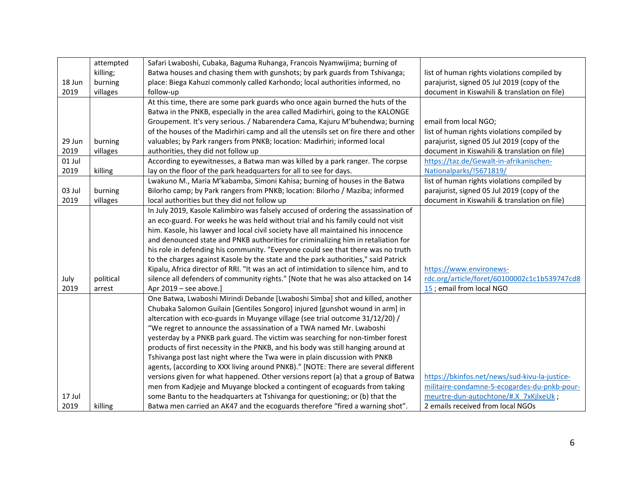|        | attempted | Safari Lwaboshi, Cubaka, Baguma Ruhanga, Francois Nyamwijima; burning of              |                                               |
|--------|-----------|---------------------------------------------------------------------------------------|-----------------------------------------------|
|        | killing;  | Batwa houses and chasing them with gunshots; by park guards from Tshivanga;           | list of human rights violations compiled by   |
| 18 Jun | burning   | place: Biega Kahuzi commonly called Karhondo; local authorities informed, no          | parajurist, signed 05 Jul 2019 (copy of the   |
| 2019   | villages  | follow-up                                                                             | document in Kiswahili & translation on file)  |
|        |           | At this time, there are some park guards who once again burned the huts of the        |                                               |
|        |           | Batwa in the PNKB, especially in the area called Madirhiri, going to the KALONGE      |                                               |
|        |           | Groupement. It's very serious. / Nabarendera Cama, Kajuru M'buhendwa; burning         | email from local NGO;                         |
|        |           | of the houses of the Madirhiri camp and all the utensils set on fire there and other  | list of human rights violations compiled by   |
| 29 Jun | burning   | valuables; by Park rangers from PNKB; location: Madirhiri; informed local             | parajurist, signed 05 Jul 2019 (copy of the   |
| 2019   | villages  | authorities, they did not follow up                                                   | document in Kiswahili & translation on file)  |
| 01 Jul |           | According to eyewitnesses, a Batwa man was killed by a park ranger. The corpse        | https://taz.de/Gewalt-in-afrikanischen-       |
| 2019   | killing   | lay on the floor of the park headquarters for all to see for days.                    | Nationalparks/!5671819/                       |
|        |           | Lwakuno M., Maria M'kabamba, Simoni Kahisa; burning of houses in the Batwa            | list of human rights violations compiled by   |
| 03 Jul | burning   | Bilorho camp; by Park rangers from PNKB; location: Bilorho / Maziba; informed         | parajurist, signed 05 Jul 2019 (copy of the   |
| 2019   | villages  | local authorities but they did not follow up                                          | document in Kiswahili & translation on file)  |
|        |           | In July 2019, Kasole Kalimbiro was falsely accused of ordering the assassination of   |                                               |
|        |           | an eco-guard. For weeks he was held without trial and his family could not visit      |                                               |
|        |           | him. Kasole, his lawyer and local civil society have all maintained his innocence     |                                               |
|        |           | and denounced state and PNKB authorities for criminalizing him in retaliation for     |                                               |
|        |           | his role in defending his community. "Everyone could see that there was no truth      |                                               |
|        |           | to the charges against Kasole by the state and the park authorities," said Patrick    |                                               |
|        |           | Kipalu, Africa director of RRI. "It was an act of intimidation to silence him, and to | https://www.environews-                       |
| July   | political | silence all defenders of community rights." [Note that he was also attacked on 14     | rdc.org/article/foret/60100002c1c1b539747cd8  |
| 2019   | arrest    | Apr 2019 - see above.]                                                                | 15 ; email from local NGO                     |
|        |           | One Batwa, Lwaboshi Mirindi Debande [Lwaboshi Simba] shot and killed, another         |                                               |
|        |           | Chubaka Salomon Guilain [Gentiles Songoro] injured [gunshot wound in arm] in          |                                               |
|        |           | altercation with eco-guards in Muyange village (see trial outcome 31/12/20) /         |                                               |
|        |           | "We regret to announce the assassination of a TWA named Mr. Lwaboshi                  |                                               |
|        |           | yesterday by a PNKB park guard. The victim was searching for non-timber forest        |                                               |
|        |           | products of first necessity in the PNKB, and his body was still hanging around at     |                                               |
|        |           | Tshivanga post last night where the Twa were in plain discussion with PNKB            |                                               |
|        |           | agents, (according to XXX living around PNKB)." [NOTE: There are several different    |                                               |
|        |           | versions given for what happened. Other versions report (a) that a group of Batwa     | https://bkinfos.net/news/sud-kivu-la-justice- |
|        |           | men from Kadjeje and Muyange blocked a contingent of ecoguards from taking            | militaire-condamne-5-ecogardes-du-pnkb-pour-  |
| 17 Jul |           | some Bantu to the headquarters at Tshivanga for questioning; or (b) that the          | meurtre-dun-autochtone/#.X 7xKjlxeUk;         |
| 2019   | killing   | Batwa men carried an AK47 and the ecoguards therefore "fired a warning shot".         | 2 emails received from local NGOs             |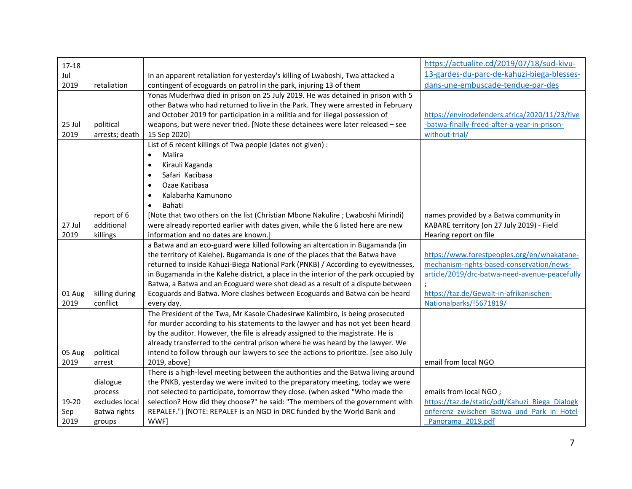| $17 - 18$ |                |                                                                                       | https://actualite.cd/2019/07/18/sud-kivu-      |
|-----------|----------------|---------------------------------------------------------------------------------------|------------------------------------------------|
| Jul       |                | In an apparent retaliation for yesterday's killing of Lwaboshi, Twa attacked a        | 13-gardes-du-parc-de-kahuzi-biega-blesses-     |
| 2019      | retaliation    | contingent of ecoguards on patrol in the park, injuring 13 of them                    | dans-une-embuscade-tendue-par-des              |
|           |                | Yonas Muderhwa died in prison on 25 July 2019. He was detained in prison with 5       |                                                |
|           |                | other Batwa who had returned to live in the Park. They were arrested in February      |                                                |
|           |                | and October 2019 for participation in a militia and for illegal possession of         | https://envirodefenders.africa/2020/11/23/five |
| 25 Jul    | political      | weapons, but were never tried. [Note these detainees were later released - see        | -batwa-finally-freed-after-a-year-in-prison-   |
| 2019      | arrests; death | 15 Sep 2020]                                                                          | without-trial/                                 |
|           |                | List of 6 recent killings of Twa people (dates not given) :                           |                                                |
|           |                | Malira<br>$\bullet$                                                                   |                                                |
|           |                |                                                                                       |                                                |
|           |                | Kirauli Kaganda<br>$\bullet$                                                          |                                                |
|           |                | Safari Kacibasa<br>$\bullet$                                                          |                                                |
|           |                | Ozae Kacibasa                                                                         |                                                |
|           |                | Kalabarha Kamunono                                                                    |                                                |
|           |                | Bahati                                                                                |                                                |
|           | report of 6    | [Note that two others on the list (Christian Mbone Nakulire ; Lwaboshi Mirindi)       | names provided by a Batwa community in         |
| 27 Jul    | additional     | were already reported earlier with dates given, while the 6 listed here are new       | KABARE territory (on 27 July 2019) - Field     |
| 2019      | killings       | information and no dates are known.]                                                  | Hearing report on file                         |
|           |                | a Batwa and an eco-guard were killed following an altercation in Bugamanda (in        |                                                |
|           |                | the territory of Kalehe). Bugamanda is one of the places that the Batwa have          | https://www.forestpeoples.org/en/whakatane-    |
|           |                | returned to inside Kahuzi-Biega National Park (PNKB) / According to eyewitnesses,     | mechanism-rights-based-conservation/news-      |
|           |                | in Bugamanda in the Kalehe district, a place in the interior of the park occupied by  | article/2019/drc-batwa-need-avenue-peacefully  |
|           |                | Batwa, a Batwa and an Ecoguard were shot dead as a result of a dispute between        |                                                |
| 01 Aug    | killing during | Ecoguards and Batwa. More clashes between Ecoguards and Batwa can be heard            | https://taz.de/Gewalt-in-afrikanischen-        |
| 2019      | conflict       | every day.                                                                            | Nationalparks/!5671819/                        |
|           |                | The President of the Twa, Mr Kasole Chadesirwe Kalimbiro, is being prosecuted         |                                                |
|           |                | for murder according to his statements to the lawyer and has not yet been heard       |                                                |
|           |                | by the auditor. However, the file is already assigned to the magistrate. He is        |                                                |
|           |                | already transferred to the central prison where he was heard by the lawyer. We        |                                                |
| 05 Aug    | political      | intend to follow through our lawyers to see the actions to prioritize. [see also July |                                                |
| 2019      | arrest         | 2019, above]                                                                          | email from local NGO                           |
|           |                | There is a high-level meeting between the authorities and the Batwa living around     |                                                |
|           | dialogue       | the PNKB, yesterday we were invited to the preparatory meeting, today we were         |                                                |
|           | process        | not selected to participate, tomorrow they close. (when asked "Who made the           | emails from local NGO;                         |
| 19-20     | excludes local | selection? How did they choose?" he said: "The members of the government with         | https://taz.de/static/pdf/Kahuzi Biega Dialogk |
| Sep       | Batwa rights   | REPALEF.") [NOTE: REPALEF is an NGO in DRC funded by the World Bank and               | onferenz zwischen Batwa und Park in Hotel      |
| 2019      | groups         | WWF]                                                                                  | Panorama 2019.pdf                              |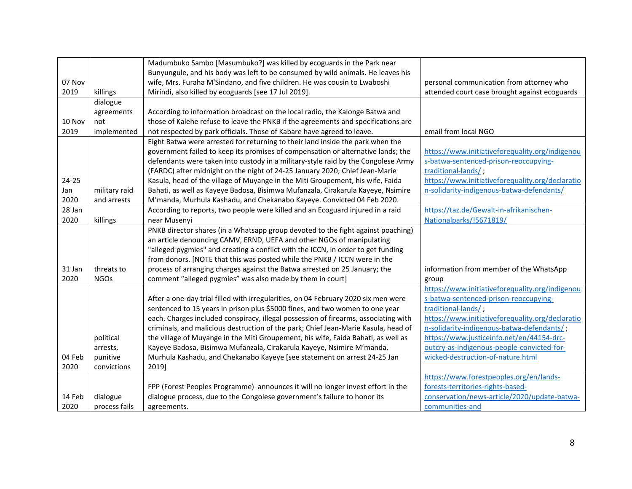|        |               | Madumbuko Sambo [Masumbuko?] was killed by ecoguards in the Park near               |                                                  |
|--------|---------------|-------------------------------------------------------------------------------------|--------------------------------------------------|
|        |               | Bunyungule, and his body was left to be consumed by wild animals. He leaves his     |                                                  |
| 07 Nov |               | wife, Mrs. Furaha M'Sindano, and five children. He was cousin to Lwaboshi           | personal communication from attorney who         |
| 2019   | killings      | Mirindi, also killed by ecoguards [see 17 Jul 2019].                                | attended court case brought against ecoguards    |
|        | dialogue      |                                                                                     |                                                  |
|        | agreements    | According to information broadcast on the local radio, the Kalonge Batwa and        |                                                  |
| 10 Nov | not           | those of Kalehe refuse to leave the PNKB if the agreements and specifications are   |                                                  |
| 2019   | implemented   | not respected by park officials. Those of Kabare have agreed to leave.              | email from local NGO                             |
|        |               | Eight Batwa were arrested for returning to their land inside the park when the      |                                                  |
|        |               | government failed to keep its promises of compensation or alternative lands; the    | https://www.initiativeforequality.org/indigenou  |
|        |               | defendants were taken into custody in a military-style raid by the Congolese Army   | s-batwa-sentenced-prison-reoccupying-            |
|        |               | (FARDC) after midnight on the night of 24-25 January 2020; Chief Jean-Marie         | traditional-lands/;                              |
| 24-25  |               | Kasula, head of the village of Muyange in the Miti Groupement, his wife, Faida      | https://www.initiativeforequality.org/declaratio |
| Jan    | military raid | Bahati, as well as Kayeye Badosa, Bisimwa Mufanzala, Cirakarula Kayeye, Nsimire     | n-solidarity-indigenous-batwa-defendants/        |
| 2020   | and arrests   | M'manda, Murhula Kashadu, and Chekanabo Kayeye. Convicted 04 Feb 2020.              |                                                  |
| 28 Jan |               | According to reports, two people were killed and an Ecoguard injured in a raid      | https://taz.de/Gewalt-in-afrikanischen-          |
| 2020   | killings      | near Musenyi                                                                        | Nationalparks/!5671819/                          |
|        |               | PNKB director shares (in a Whatsapp group devoted to the fight against poaching)    |                                                  |
|        |               | an article denouncing CAMV, ERND, UEFA and other NGOs of manipulating               |                                                  |
|        |               | "alleged pygmies" and creating a conflict with the ICCN, in order to get funding    |                                                  |
|        |               | from donors. [NOTE that this was posted while the PNKB / ICCN were in the           |                                                  |
| 31 Jan | threats to    | process of arranging charges against the Batwa arrested on 25 January; the          | information from member of the WhatsApp          |
| 2020   | <b>NGOs</b>   | comment "alleged pygmies" was also made by them in court]                           | group                                            |
|        |               |                                                                                     | https://www.initiativeforequality.org/indigenou  |
|        |               | After a one-day trial filled with irregularities, on 04 February 2020 six men were  | s-batwa-sentenced-prison-reoccupying-            |
|        |               | sentenced to 15 years in prison plus \$5000 fines, and two women to one year        | traditional-lands/;                              |
|        |               | each. Charges included conspiracy, illegal possession of firearms, associating with | https://www.initiativeforequality.org/declaratio |
|        |               | criminals, and malicious destruction of the park; Chief Jean-Marie Kasula, head of  | n-solidarity-indigenous-batwa-defendants/;       |
|        | political     | the village of Muyange in the Miti Groupement, his wife, Faida Bahati, as well as   | https://www.justiceinfo.net/en/44154-drc-        |
|        | arrests,      | Kayeye Badosa, Bisimwa Mufanzala, Cirakarula Kayeye, Nsimire M'manda,               | outcry-as-indigenous-people-convicted-for-       |
| 04 Feb | punitive      | Murhula Kashadu, and Chekanabo Kayeye [see statement on arrest 24-25 Jan            | wicked-destruction-of-nature.html                |
| 2020   | convictions   | 2019]                                                                               |                                                  |
|        |               |                                                                                     | https://www.forestpeoples.org/en/lands-          |
|        |               | FPP (Forest Peoples Programme) announces it will no longer invest effort in the     | forests-territories-rights-based-                |
| 14 Feb | dialogue      | dialogue process, due to the Congolese government's failure to honor its            | conservation/news-article/2020/update-batwa-     |
| 2020   | process fails | agreements.                                                                         | communities-and                                  |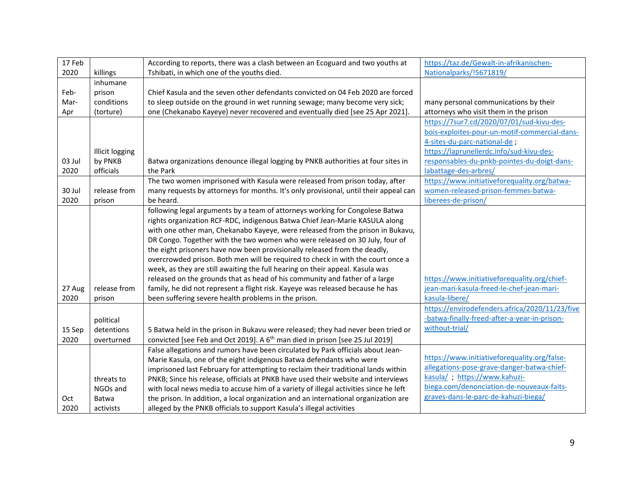| 17 Feb |                        | According to reports, there was a clash between an Ecoguard and two youths at            | https://taz.de/Gewalt-in-afrikanischen-        |
|--------|------------------------|------------------------------------------------------------------------------------------|------------------------------------------------|
| 2020   | killings               | Tshibati, in which one of the youths died.                                               | Nationalparks/!5671819/                        |
|        | inhumane               |                                                                                          |                                                |
| Feb-   | prison                 | Chief Kasula and the seven other defendants convicted on 04 Feb 2020 are forced          |                                                |
| Mar-   | conditions             | to sleep outside on the ground in wet running sewage; many become very sick;             | many personal communications by their          |
| Apr    | (torture)              | one (Chekanabo Kayeye) never recovered and eventually died [see 25 Apr 2021].            | attorneys who visit them in the prison         |
|        |                        |                                                                                          | https://7sur7.cd/2020/07/01/sud-kivu-des-      |
|        |                        |                                                                                          | bois-exploites-pour-un-motif-commercial-dans-  |
|        |                        |                                                                                          | 4-sites-du-parc-national-de;                   |
|        | <b>Illicit logging</b> |                                                                                          | https://laprunellerdc.info/sud-kivu-des-       |
| 03 Jul | by PNKB                | Batwa organizations denounce illegal logging by PNKB authorities at four sites in        | responsables-du-pnkb-pointes-du-doigt-dans-    |
| 2020   | officials              | the Park                                                                                 | labattage-des-arbres/                          |
|        |                        | The two women imprisoned with Kasula were released from prison today, after              | https://www.initiativeforequality.org/batwa-   |
| 30 Jul | release from           | many requests by attorneys for months. It's only provisional, until their appeal can     | women-released-prison-femmes-batwa-            |
| 2020   | prison                 | be heard.                                                                                | liberees-de-prison/                            |
|        |                        | following legal arguments by a team of attorneys working for Congolese Batwa             |                                                |
|        |                        | rights organization RCF-RDC, indigenous Batwa Chief Jean-Marie KASULA along              |                                                |
|        |                        | with one other man, Chekanabo Kayeye, were released from the prison in Bukavu,           |                                                |
|        |                        | DR Congo. Together with the two women who were released on 30 July, four of              |                                                |
|        |                        | the eight prisoners have now been provisionally released from the deadly,                |                                                |
|        |                        | overcrowded prison. Both men will be required to check in with the court once a          |                                                |
|        |                        | week, as they are still awaiting the full hearing on their appeal. Kasula was            |                                                |
|        |                        | released on the grounds that as head of his community and father of a large              | https://www.initiativeforequality.org/chief-   |
| 27 Aug | release from           | family, he did not represent a flight risk. Kayeye was released because he has           | jean-mari-kasula-freed-le-chef-jean-mari-      |
| 2020   | prison                 | been suffering severe health problems in the prison.                                     | kasula-libere/                                 |
|        |                        |                                                                                          | https://envirodefenders.africa/2020/11/23/five |
|        | political              |                                                                                          | -batwa-finally-freed-after-a-year-in-prison-   |
| 15 Sep | detentions             | 5 Batwa held in the prison in Bukavu were released; they had never been tried or         | without-trial/                                 |
| 2020   | overturned             | convicted [see Feb and Oct 2019]. A 6 <sup>th</sup> man died in prison [see 25 Jul 2019] |                                                |
|        |                        | False allegations and rumors have been circulated by Park officials about Jean-          |                                                |
|        |                        | Marie Kasula, one of the eight indigenous Batwa defendants who were                      | https://www.initiativeforequality.org/false-   |
|        |                        | imprisoned last February for attempting to reclaim their traditional lands within        | allegations-pose-grave-danger-batwa-chief-     |
|        | threats to             | PNKB; Since his release, officials at PNKB have used their website and interviews        | kasula/; https://www.kahuzi-                   |
|        | NGOs and               | with local news media to accuse him of a variety of illegal activities since he left     | biega.com/denonciation-de-nouveaux-faits-      |
| Oct    | Batwa                  | the prison. In addition, a local organization and an international organization are      | graves-dans-le-parc-de-kahuzi-biega/           |
| 2020   | activists              | alleged by the PNKB officials to support Kasula's illegal activities                     |                                                |
|        |                        |                                                                                          |                                                |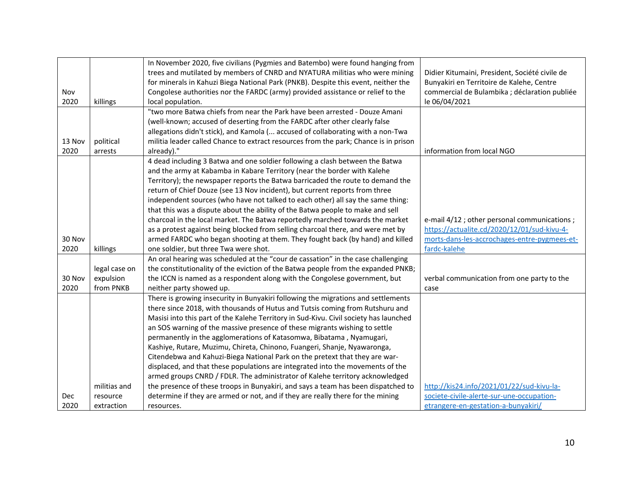|        |               | In November 2020, five civilians (Pygmies and Batembo) were found hanging from        |                                                |
|--------|---------------|---------------------------------------------------------------------------------------|------------------------------------------------|
|        |               | trees and mutilated by members of CNRD and NYATURA militias who were mining           | Didier Kitumaini, President, Société civile de |
|        |               | for minerals in Kahuzi Biega National Park (PNKB). Despite this event, neither the    | Bunyakiri en Territoire de Kalehe, Centre      |
| Nov    |               | Congolese authorities nor the FARDC (army) provided assistance or relief to the       | commercial de Bulambika ; déclaration publiée  |
| 2020   | killings      | local population.                                                                     | le 06/04/2021                                  |
|        |               | "two more Batwa chiefs from near the Park have been arrested - Douze Amani            |                                                |
|        |               | (well-known; accused of deserting from the FARDC after other clearly false            |                                                |
|        |               | allegations didn't stick), and Kamola ( accused of collaborating with a non-Twa       |                                                |
| 13 Nov | political     | militia leader called Chance to extract resources from the park; Chance is in prison  |                                                |
| 2020   | arrests       | already)."                                                                            | information from local NGO                     |
|        |               | 4 dead including 3 Batwa and one soldier following a clash between the Batwa          |                                                |
|        |               | and the army at Kabamba in Kabare Territory (near the border with Kalehe              |                                                |
|        |               | Territory); the newspaper reports the Batwa barricaded the route to demand the        |                                                |
|        |               | return of Chief Douze (see 13 Nov incident), but current reports from three           |                                                |
|        |               | independent sources (who have not talked to each other) all say the same thing:       |                                                |
|        |               | that this was a dispute about the ability of the Batwa people to make and sell        |                                                |
|        |               | charcoal in the local market. The Batwa reportedly marched towards the market         | e-mail 4/12 ; other personal communications ;  |
|        |               | as a protest against being blocked from selling charcoal there, and were met by       | https://actualite.cd/2020/12/01/sud-kivu-4-    |
| 30 Nov |               | armed FARDC who began shooting at them. They fought back (by hand) and killed         | morts-dans-les-accrochages-entre-pygmees-et-   |
| 2020   | killings      | one soldier, but three Twa were shot.                                                 | fardc-kalehe                                   |
|        |               | An oral hearing was scheduled at the "cour de cassation" in the case challenging      |                                                |
|        | legal case on | the constitutionality of the eviction of the Batwa people from the expanded PNKB;     |                                                |
| 30 Nov | expulsion     | the ICCN is named as a respondent along with the Congolese government, but            | verbal communication from one party to the     |
| 2020   | from PNKB     | neither party showed up.                                                              | case                                           |
|        |               | There is growing insecurity in Bunyakiri following the migrations and settlements     |                                                |
|        |               | there since 2018, with thousands of Hutus and Tutsis coming from Rutshuru and         |                                                |
|        |               | Masisi into this part of the Kalehe Territory in Sud-Kivu. Civil society has launched |                                                |
|        |               | an SOS warning of the massive presence of these migrants wishing to settle            |                                                |
|        |               | permanently in the agglomerations of Katasomwa, Bibatama, Nyamugari,                  |                                                |
|        |               | Kashiye, Rutare, Muzimu, Chireta, Chinono, Fuangeri, Shanje, Nyawaronga,              |                                                |
|        |               | Citendebwa and Kahuzi-Biega National Park on the pretext that they are war-           |                                                |
|        |               | displaced, and that these populations are integrated into the movements of the        |                                                |
|        |               | armed groups CNRD / FDLR. The administrator of Kalehe territory acknowledged          |                                                |
|        | militias and  | the presence of these troops in Bunyakiri, and says a team has been dispatched to     | http://kis24.info/2021/01/22/sud-kivu-la-      |
| Dec    | resource      | determine if they are armed or not, and if they are really there for the mining       | societe-civile-alerte-sur-une-occupation-      |
| 2020   | extraction    | resources.                                                                            | etrangere-en-gestation-a-bunyakiri/            |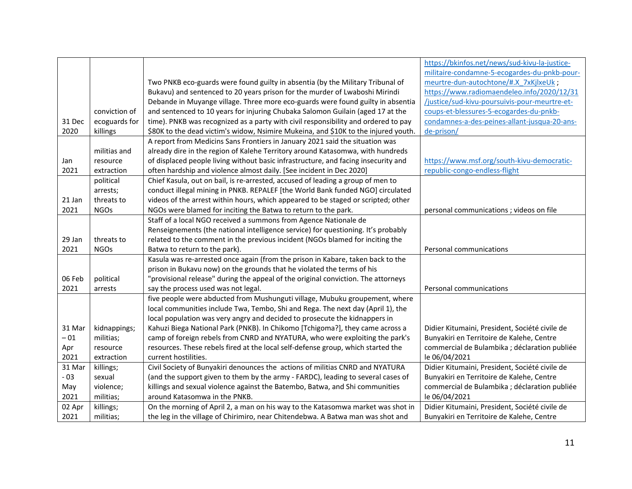|        |               |                                                                                    | https://bkinfos.net/news/sud-kivu-la-justice-  |
|--------|---------------|------------------------------------------------------------------------------------|------------------------------------------------|
|        |               |                                                                                    | militaire-condamne-5-ecogardes-du-pnkb-pour-   |
|        |               | Two PNKB eco-guards were found guilty in absentia (by the Military Tribunal of     | meurtre-dun-autochtone/#.X 7xKjlxeUk;          |
|        |               | Bukavu) and sentenced to 20 years prison for the murder of Lwaboshi Mirindi        | https://www.radiomaendeleo.info/2020/12/31     |
|        |               | Debande in Muyange village. Three more eco-guards were found guilty in absentia    | /justice/sud-kivu-poursuivis-pour-meurtre-et-  |
|        | conviction of | and sentenced to 10 years for injuring Chubaka Salomon Guilain (aged 17 at the     | coups-et-blessures-5-ecogardes-du-pnkb-        |
| 31 Dec | ecoguards for | time). PNKB was recognized as a party with civil responsibility and ordered to pay | condamnes-a-des-peines-allant-jusqua-20-ans-   |
| 2020   | killings      | \$80K to the dead victim's widow, Nsimire Mukeina, and \$10K to the injured youth. | de-prison/                                     |
|        |               | A report from Medicins Sans Frontiers in January 2021 said the situation was       |                                                |
|        | militias and  | already dire in the region of Kalehe Territory around Katasomwa, with hundreds     |                                                |
| Jan    | resource      | of displaced people living without basic infrastructure, and facing insecurity and | https://www.msf.org/south-kivu-democratic-     |
| 2021   | extraction    | often hardship and violence almost daily. [See incident in Dec 2020]               | republic-congo-endless-flight                  |
|        | political     | Chief Kasula, out on bail, is re-arrested, accused of leading a group of men to    |                                                |
|        | arrests;      | conduct illegal mining in PNKB. REPALEF [the World Bank funded NGO] circulated     |                                                |
| 21 Jan | threats to    | videos of the arrest within hours, which appeared to be staged or scripted; other  |                                                |
| 2021   | <b>NGOs</b>   | NGOs were blamed for inciting the Batwa to return to the park.                     | personal communications ; videos on file       |
|        |               | Staff of a local NGO received a summons from Agence Nationale de                   |                                                |
|        |               | Renseignements (the national intelligence service) for questioning. It's probably  |                                                |
| 29 Jan | threats to    | related to the comment in the previous incident (NGOs blamed for inciting the      |                                                |
| 2021   | <b>NGOs</b>   | Batwa to return to the park).                                                      | Personal communications                        |
|        |               | Kasula was re-arrested once again (from the prison in Kabare, taken back to the    |                                                |
|        |               | prison in Bukavu now) on the grounds that he violated the terms of his             |                                                |
| 06 Feb | political     | "provisional release" during the appeal of the original conviction. The attorneys  |                                                |
| 2021   | arrests       | say the process used was not legal.                                                | Personal communications                        |
|        |               | five people were abducted from Mushunguti village, Mubuku groupement, where        |                                                |
|        |               | local communities include Twa, Tembo, Shi and Rega. The next day (April 1), the    |                                                |
|        |               | local population was very angry and decided to prosecute the kidnappers in         |                                                |
| 31 Mar | kidnappings;  | Kahuzi Biega National Park (PNKB). In Chikomo [Tchigoma?], they came across a      | Didier Kitumaini, President, Société civile de |
| $-01$  | militias;     | camp of foreign rebels from CNRD and NYATURA, who were exploiting the park's       | Bunyakiri en Territoire de Kalehe, Centre      |
| Apr    | resource      | resources. These rebels fired at the local self-defense group, which started the   | commercial de Bulambika ; déclaration publiée  |
| 2021   | extraction    | current hostilities.                                                               | le 06/04/2021                                  |
| 31 Mar | killings;     | Civil Society of Bunyakiri denounces the actions of militias CNRD and NYATURA      | Didier Kitumaini, President, Société civile de |
| $-03$  | sexual        | (and the support given to them by the army - FARDC), leading to several cases of   | Bunyakiri en Territoire de Kalehe, Centre      |
| May    | violence;     | killings and sexual violence against the Batembo, Batwa, and Shi communities       | commercial de Bulambika ; déclaration publiée  |
| 2021   | militias;     | around Katasomwa in the PNKB.                                                      | le 06/04/2021                                  |
| 02 Apr | killings;     | On the morning of April 2, a man on his way to the Katasomwa market was shot in    | Didier Kitumaini, President, Société civile de |
| 2021   | militias;     | the leg in the village of Chirimiro, near Chitendebwa. A Batwa man was shot and    | Bunyakiri en Territoire de Kalehe, Centre      |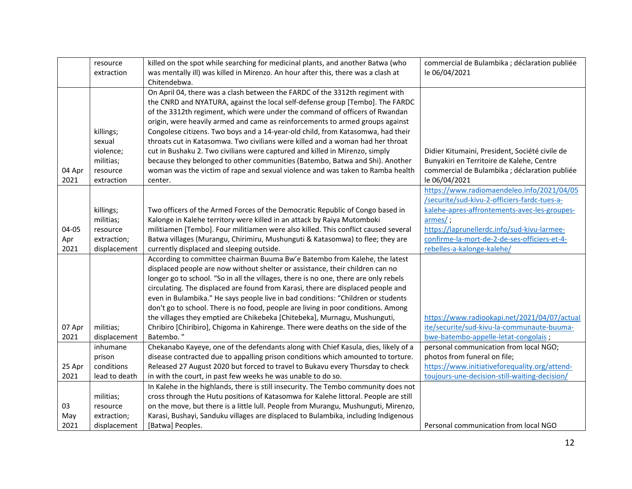| On April 04, there was a clash between the FARDC of the 3312th regiment with<br>the CNRD and NYATURA, against the local self-defense group [Tembo]. The FARDC<br>of the 3312th regiment, which were under the command of officers of Rwandan<br>origin, were heavily armed and came as reinforcements to armed groups against<br>Congolese citizens. Two boys and a 14-year-old child, from Katasomwa, had their<br>killings;<br>throats cut in Katasomwa. Two civilians were killed and a woman had her throat<br>sexual<br>violence;<br>cut in Bushaku 2. Two civilians were captured and killed in Mirenzo, simply<br>Didier Kitumaini, President, Société civile de<br>because they belonged to other communities (Batembo, Batwa and Shi). Another<br>militias;<br>Bunyakiri en Territoire de Kalehe, Centre<br>woman was the victim of rape and sexual violence and was taken to Ramba health<br>commercial de Bulambika ; déclaration publiée<br>04 Apr<br>resource<br>2021<br>le 06/04/2021<br>extraction<br>center.<br>https://www.radiomaendeleo.info/2021/04/05<br>/securite/sud-kivu-2-officiers-fardc-tues-a-<br>kalehe-apres-affrontements-avec-les-groupes-<br>Two officers of the Armed Forces of the Democratic Republic of Congo based in<br>killings;<br>armes/;<br>Kalonge in Kalehe territory were killed in an attack by Raiya Mutomboki<br>militias;<br>04-05<br>militiamen [Tembo]. Four militiamen were also killed. This conflict caused several<br>https://laprunellerdc.info/sud-kivu-larmee-<br>resource<br>confirme-la-mort-de-2-de-ses-officiers-et-4-<br>Batwa villages (Murangu, Chirimiru, Mushunguti & Katasomwa) to flee; they are<br>Apr<br>extraction;<br>rebelles-a-kalonge-kalehe/<br>2021<br>displacement<br>currently displaced and sleeping outside.<br>According to committee chairman Buuma Bw'e Batembo from Kalehe, the latest<br>displaced people are now without shelter or assistance, their children can no<br>longer go to school. "So in all the villages, there is no one, there are only rebels<br>circulating. The displaced are found from Karasi, there are displaced people and<br>even in Bulambika." He says people live in bad conditions: "Children or students<br>don't go to school. There is no food, people are living in poor conditions. Among<br>the villages they emptied are Chikebeka [Chitebeka], Murnagu, Mushunguti,<br>https://www.radiookapi.net/2021/04/07/actual<br>ite/securite/sud-kivu-la-communaute-buuma-<br>07 Apr<br>Chribiro [Chiribiro], Chigoma in Kahirenge. There were deaths on the side of the<br>militias;<br>Batembo.'<br>2021<br>bwe-batembo-appelle-letat-congolais;<br>displacement<br>inhumane<br>Chekanabo Kayeye, one of the defendants along with Chief Kasula, dies, likely of a<br>personal communication from local NGO;<br>photos from funeral on file;<br>disease contracted due to appalling prison conditions which amounted to torture.<br>prison<br>25 Apr<br>conditions<br>https://www.initiativeforequality.org/attend-<br>Released 27 August 2020 but forced to travel to Bukavu every Thursday to check<br>2021<br>in with the court, in past few weeks he was unable to do so.<br>toujours-une-decision-still-waiting-decision/<br>lead to death<br>In Kalehe in the highlands, there is still insecurity. The Tembo community does not | resource<br>extraction | killed on the spot while searching for medicinal plants, and another Batwa (who<br>was mentally ill) was killed in Mirenzo. An hour after this, there was a clash at<br>Chitendebwa. | commercial de Bulambika ; déclaration publiée<br>le 06/04/2021 |
|--------------------------------------------------------------------------------------------------------------------------------------------------------------------------------------------------------------------------------------------------------------------------------------------------------------------------------------------------------------------------------------------------------------------------------------------------------------------------------------------------------------------------------------------------------------------------------------------------------------------------------------------------------------------------------------------------------------------------------------------------------------------------------------------------------------------------------------------------------------------------------------------------------------------------------------------------------------------------------------------------------------------------------------------------------------------------------------------------------------------------------------------------------------------------------------------------------------------------------------------------------------------------------------------------------------------------------------------------------------------------------------------------------------------------------------------------------------------------------------------------------------------------------------------------------------------------------------------------------------------------------------------------------------------------------------------------------------------------------------------------------------------------------------------------------------------------------------------------------------------------------------------------------------------------------------------------------------------------------------------------------------------------------------------------------------------------------------------------------------------------------------------------------------------------------------------------------------------------------------------------------------------------------------------------------------------------------------------------------------------------------------------------------------------------------------------------------------------------------------------------------------------------------------------------------------------------------------------------------------------------------------------------------------------------------------------------------------------------------------------------------------------------------------------------------------------------------------------------------------------------------------------------------------------------------------------------------------------------------------------------------------------------------------------------------------------------------------------------------------------------------------------------------------------------------------------------------------------------------------------------------------------------------------------------------------------------------------------------------------|------------------------|--------------------------------------------------------------------------------------------------------------------------------------------------------------------------------------|----------------------------------------------------------------|
|                                                                                                                                                                                                                                                                                                                                                                                                                                                                                                                                                                                                                                                                                                                                                                                                                                                                                                                                                                                                                                                                                                                                                                                                                                                                                                                                                                                                                                                                                                                                                                                                                                                                                                                                                                                                                                                                                                                                                                                                                                                                                                                                                                                                                                                                                                                                                                                                                                                                                                                                                                                                                                                                                                                                                                                                                                                                                                                                                                                                                                                                                                                                                                                                                                                                                                                                                              |                        |                                                                                                                                                                                      |                                                                |
|                                                                                                                                                                                                                                                                                                                                                                                                                                                                                                                                                                                                                                                                                                                                                                                                                                                                                                                                                                                                                                                                                                                                                                                                                                                                                                                                                                                                                                                                                                                                                                                                                                                                                                                                                                                                                                                                                                                                                                                                                                                                                                                                                                                                                                                                                                                                                                                                                                                                                                                                                                                                                                                                                                                                                                                                                                                                                                                                                                                                                                                                                                                                                                                                                                                                                                                                                              |                        |                                                                                                                                                                                      |                                                                |
|                                                                                                                                                                                                                                                                                                                                                                                                                                                                                                                                                                                                                                                                                                                                                                                                                                                                                                                                                                                                                                                                                                                                                                                                                                                                                                                                                                                                                                                                                                                                                                                                                                                                                                                                                                                                                                                                                                                                                                                                                                                                                                                                                                                                                                                                                                                                                                                                                                                                                                                                                                                                                                                                                                                                                                                                                                                                                                                                                                                                                                                                                                                                                                                                                                                                                                                                                              |                        |                                                                                                                                                                                      |                                                                |
|                                                                                                                                                                                                                                                                                                                                                                                                                                                                                                                                                                                                                                                                                                                                                                                                                                                                                                                                                                                                                                                                                                                                                                                                                                                                                                                                                                                                                                                                                                                                                                                                                                                                                                                                                                                                                                                                                                                                                                                                                                                                                                                                                                                                                                                                                                                                                                                                                                                                                                                                                                                                                                                                                                                                                                                                                                                                                                                                                                                                                                                                                                                                                                                                                                                                                                                                                              |                        |                                                                                                                                                                                      |                                                                |
|                                                                                                                                                                                                                                                                                                                                                                                                                                                                                                                                                                                                                                                                                                                                                                                                                                                                                                                                                                                                                                                                                                                                                                                                                                                                                                                                                                                                                                                                                                                                                                                                                                                                                                                                                                                                                                                                                                                                                                                                                                                                                                                                                                                                                                                                                                                                                                                                                                                                                                                                                                                                                                                                                                                                                                                                                                                                                                                                                                                                                                                                                                                                                                                                                                                                                                                                                              |                        |                                                                                                                                                                                      |                                                                |
|                                                                                                                                                                                                                                                                                                                                                                                                                                                                                                                                                                                                                                                                                                                                                                                                                                                                                                                                                                                                                                                                                                                                                                                                                                                                                                                                                                                                                                                                                                                                                                                                                                                                                                                                                                                                                                                                                                                                                                                                                                                                                                                                                                                                                                                                                                                                                                                                                                                                                                                                                                                                                                                                                                                                                                                                                                                                                                                                                                                                                                                                                                                                                                                                                                                                                                                                                              |                        |                                                                                                                                                                                      |                                                                |
|                                                                                                                                                                                                                                                                                                                                                                                                                                                                                                                                                                                                                                                                                                                                                                                                                                                                                                                                                                                                                                                                                                                                                                                                                                                                                                                                                                                                                                                                                                                                                                                                                                                                                                                                                                                                                                                                                                                                                                                                                                                                                                                                                                                                                                                                                                                                                                                                                                                                                                                                                                                                                                                                                                                                                                                                                                                                                                                                                                                                                                                                                                                                                                                                                                                                                                                                                              |                        |                                                                                                                                                                                      |                                                                |
|                                                                                                                                                                                                                                                                                                                                                                                                                                                                                                                                                                                                                                                                                                                                                                                                                                                                                                                                                                                                                                                                                                                                                                                                                                                                                                                                                                                                                                                                                                                                                                                                                                                                                                                                                                                                                                                                                                                                                                                                                                                                                                                                                                                                                                                                                                                                                                                                                                                                                                                                                                                                                                                                                                                                                                                                                                                                                                                                                                                                                                                                                                                                                                                                                                                                                                                                                              |                        |                                                                                                                                                                                      |                                                                |
|                                                                                                                                                                                                                                                                                                                                                                                                                                                                                                                                                                                                                                                                                                                                                                                                                                                                                                                                                                                                                                                                                                                                                                                                                                                                                                                                                                                                                                                                                                                                                                                                                                                                                                                                                                                                                                                                                                                                                                                                                                                                                                                                                                                                                                                                                                                                                                                                                                                                                                                                                                                                                                                                                                                                                                                                                                                                                                                                                                                                                                                                                                                                                                                                                                                                                                                                                              |                        |                                                                                                                                                                                      |                                                                |
|                                                                                                                                                                                                                                                                                                                                                                                                                                                                                                                                                                                                                                                                                                                                                                                                                                                                                                                                                                                                                                                                                                                                                                                                                                                                                                                                                                                                                                                                                                                                                                                                                                                                                                                                                                                                                                                                                                                                                                                                                                                                                                                                                                                                                                                                                                                                                                                                                                                                                                                                                                                                                                                                                                                                                                                                                                                                                                                                                                                                                                                                                                                                                                                                                                                                                                                                                              |                        |                                                                                                                                                                                      |                                                                |
|                                                                                                                                                                                                                                                                                                                                                                                                                                                                                                                                                                                                                                                                                                                                                                                                                                                                                                                                                                                                                                                                                                                                                                                                                                                                                                                                                                                                                                                                                                                                                                                                                                                                                                                                                                                                                                                                                                                                                                                                                                                                                                                                                                                                                                                                                                                                                                                                                                                                                                                                                                                                                                                                                                                                                                                                                                                                                                                                                                                                                                                                                                                                                                                                                                                                                                                                                              |                        |                                                                                                                                                                                      |                                                                |
|                                                                                                                                                                                                                                                                                                                                                                                                                                                                                                                                                                                                                                                                                                                                                                                                                                                                                                                                                                                                                                                                                                                                                                                                                                                                                                                                                                                                                                                                                                                                                                                                                                                                                                                                                                                                                                                                                                                                                                                                                                                                                                                                                                                                                                                                                                                                                                                                                                                                                                                                                                                                                                                                                                                                                                                                                                                                                                                                                                                                                                                                                                                                                                                                                                                                                                                                                              |                        |                                                                                                                                                                                      |                                                                |
|                                                                                                                                                                                                                                                                                                                                                                                                                                                                                                                                                                                                                                                                                                                                                                                                                                                                                                                                                                                                                                                                                                                                                                                                                                                                                                                                                                                                                                                                                                                                                                                                                                                                                                                                                                                                                                                                                                                                                                                                                                                                                                                                                                                                                                                                                                                                                                                                                                                                                                                                                                                                                                                                                                                                                                                                                                                                                                                                                                                                                                                                                                                                                                                                                                                                                                                                                              |                        |                                                                                                                                                                                      |                                                                |
| cross through the Hutu positions of Katasomwa for Kalehe littoral. People are still<br>militias;                                                                                                                                                                                                                                                                                                                                                                                                                                                                                                                                                                                                                                                                                                                                                                                                                                                                                                                                                                                                                                                                                                                                                                                                                                                                                                                                                                                                                                                                                                                                                                                                                                                                                                                                                                                                                                                                                                                                                                                                                                                                                                                                                                                                                                                                                                                                                                                                                                                                                                                                                                                                                                                                                                                                                                                                                                                                                                                                                                                                                                                                                                                                                                                                                                                             |                        |                                                                                                                                                                                      |                                                                |
| on the move, but there is a little lull. People from Murangu, Mushunguti, Mirenzo,<br>03<br>resource<br>Karasi, Bushayi, Sanduku villages are displaced to Bulambika, including Indigenous                                                                                                                                                                                                                                                                                                                                                                                                                                                                                                                                                                                                                                                                                                                                                                                                                                                                                                                                                                                                                                                                                                                                                                                                                                                                                                                                                                                                                                                                                                                                                                                                                                                                                                                                                                                                                                                                                                                                                                                                                                                                                                                                                                                                                                                                                                                                                                                                                                                                                                                                                                                                                                                                                                                                                                                                                                                                                                                                                                                                                                                                                                                                                                   |                        |                                                                                                                                                                                      |                                                                |
| May<br>extraction;<br>2021<br>[Batwa] Peoples.<br>Personal communication from local NGO<br>displacement                                                                                                                                                                                                                                                                                                                                                                                                                                                                                                                                                                                                                                                                                                                                                                                                                                                                                                                                                                                                                                                                                                                                                                                                                                                                                                                                                                                                                                                                                                                                                                                                                                                                                                                                                                                                                                                                                                                                                                                                                                                                                                                                                                                                                                                                                                                                                                                                                                                                                                                                                                                                                                                                                                                                                                                                                                                                                                                                                                                                                                                                                                                                                                                                                                                      |                        |                                                                                                                                                                                      |                                                                |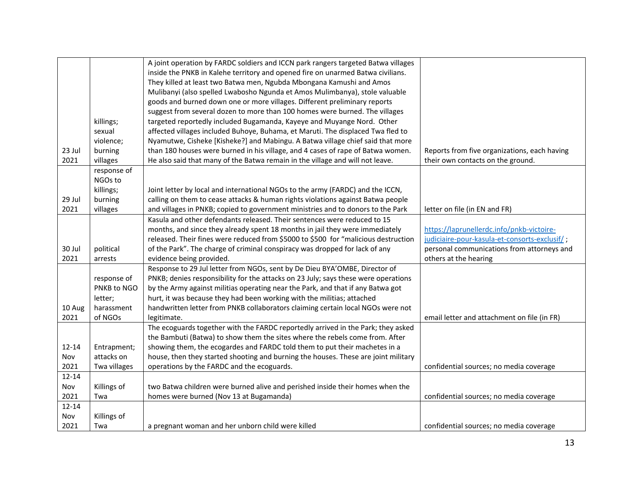|           |              | A joint operation by FARDC soldiers and ICCN park rangers targeted Batwa villages  |                                               |
|-----------|--------------|------------------------------------------------------------------------------------|-----------------------------------------------|
|           |              | inside the PNKB in Kalehe territory and opened fire on unarmed Batwa civilians.    |                                               |
|           |              | They killed at least two Batwa men, Ngubda Mbongana Kamushi and Amos               |                                               |
|           |              | Mulibanyi (also spelled Lwabosho Ngunda et Amos Mulimbanya), stole valuable        |                                               |
|           |              | goods and burned down one or more villages. Different preliminary reports          |                                               |
|           |              | suggest from several dozen to more than 100 homes were burned. The villages        |                                               |
|           | killings;    | targeted reportedly included Bugamanda, Kayeye and Muyange Nord. Other             |                                               |
|           | sexual       | affected villages included Buhoye, Buhama, et Maruti. The displaced Twa fled to    |                                               |
|           | violence;    | Nyamutwe, Cisheke [Kisheke?] and Mabingu. A Batwa village chief said that more     |                                               |
| 23 Jul    | burning      | than 180 houses were burned in his village, and 4 cases of rape of Batwa women.    | Reports from five organizations, each having  |
| 2021      | villages     | He also said that many of the Batwa remain in the village and will not leave.      | their own contacts on the ground.             |
|           | response of  |                                                                                    |                                               |
|           | NGOs to      |                                                                                    |                                               |
|           | killings;    | Joint letter by local and international NGOs to the army (FARDC) and the ICCN,     |                                               |
| 29 Jul    | burning      | calling on them to cease attacks & human rights violations against Batwa people    |                                               |
| 2021      | villages     | and villages in PNKB; copied to government ministries and to donors to the Park    | letter on file (in EN and FR)                 |
|           |              | Kasula and other defendants released. Their sentences were reduced to 15           |                                               |
|           |              | months, and since they already spent 18 months in jail they were immediately       | https://laprunellerdc.info/pnkb-victoire-     |
|           |              | released. Their fines were reduced from \$5000 to \$500 for "malicious destruction | judiciaire-pour-kasula-et-consorts-exclusif/; |
|           |              |                                                                                    | personal communications from attorneys and    |
| 30 Jul    | political    | of the Park". The charge of criminal conspiracy was dropped for lack of any        |                                               |
| 2021      | arrests      | evidence being provided.                                                           | others at the hearing                         |
|           |              | Response to 29 Jul letter from NGOs, sent by De Dieu BYA'OMBE, Director of         |                                               |
|           | response of  | PNKB; denies responsibility for the attacks on 23 July; says these were operations |                                               |
|           | PNKB to NGO  | by the Army against militias operating near the Park, and that if any Batwa got    |                                               |
|           | letter;      | hurt, it was because they had been working with the militias; attached             |                                               |
| 10 Aug    | harassment   | handwritten letter from PNKB collaborators claiming certain local NGOs were not    |                                               |
| 2021      | of NGOs      | legitimate.                                                                        | email letter and attachment on file (in FR)   |
|           |              | The ecoguards together with the FARDC reportedly arrived in the Park; they asked   |                                               |
|           |              | the Bambuti (Batwa) to show them the sites where the rebels come from. After       |                                               |
| $12 - 14$ | Entrapment;  | showing them, the ecogardes and FARDC told them to put their machetes in a         |                                               |
| Nov       | attacks on   | house, then they started shooting and burning the houses. These are joint military |                                               |
| 2021      | Twa villages | operations by the FARDC and the ecoguards.                                         | confidential sources; no media coverage       |
| $12 - 14$ |              |                                                                                    |                                               |
| Nov       | Killings of  | two Batwa children were burned alive and perished inside their homes when the      |                                               |
| 2021      | Twa          | homes were burned (Nov 13 at Bugamanda)                                            | confidential sources; no media coverage       |
| $12 - 14$ |              |                                                                                    |                                               |
| Nov       | Killings of  |                                                                                    |                                               |
| 2021      | Twa          | a pregnant woman and her unborn child were killed                                  | confidential sources; no media coverage       |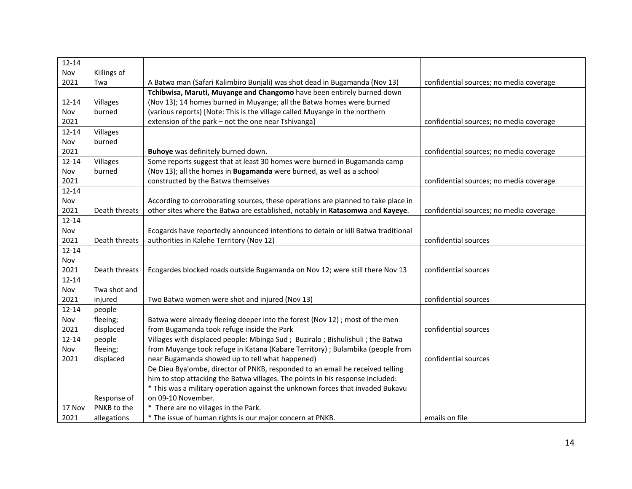| $12 - 14$ |               |                                                                                   |                                         |
|-----------|---------------|-----------------------------------------------------------------------------------|-----------------------------------------|
| Nov       | Killings of   |                                                                                   |                                         |
| 2021      | Twa           | A Batwa man (Safari Kalimbiro Bunjali) was shot dead in Bugamanda (Nov 13)        | confidential sources; no media coverage |
|           |               | Tchibwisa, Maruti, Muyange and Changomo have been entirely burned down            |                                         |
| $12 - 14$ | Villages      | (Nov 13); 14 homes burned in Muyange; all the Batwa homes were burned             |                                         |
| Nov       | burned        | (various reports) [Note: This is the village called Muyange in the northern       |                                         |
| 2021      |               | extension of the park - not the one near Tshivanga]                               | confidential sources; no media coverage |
| $12 - 14$ | Villages      |                                                                                   |                                         |
| Nov       | burned        |                                                                                   |                                         |
| 2021      |               | Buhoye was definitely burned down.                                                | confidential sources; no media coverage |
| $12 - 14$ | Villages      | Some reports suggest that at least 30 homes were burned in Bugamanda camp         |                                         |
| Nov       | burned        | (Nov 13); all the homes in Bugamanda were burned, as well as a school             |                                         |
| 2021      |               | constructed by the Batwa themselves                                               | confidential sources; no media coverage |
| $12 - 14$ |               |                                                                                   |                                         |
| Nov       |               | According to corroborating sources, these operations are planned to take place in |                                         |
| 2021      | Death threats | other sites where the Batwa are established, notably in Katasomwa and Kayeye.     | confidential sources; no media coverage |
| $12 - 14$ |               |                                                                                   |                                         |
| Nov       |               | Ecogards have reportedly announced intentions to detain or kill Batwa traditional |                                         |
| 2021      | Death threats | authorities in Kalehe Territory (Nov 12)                                          | confidential sources                    |
| $12 - 14$ |               |                                                                                   |                                         |
| Nov       |               |                                                                                   |                                         |
| 2021      | Death threats | Ecogardes blocked roads outside Bugamanda on Nov 12; were still there Nov 13      | confidential sources                    |
| $12 - 14$ |               |                                                                                   |                                         |
| Nov       | Twa shot and  |                                                                                   |                                         |
| 2021      | injured       | Two Batwa women were shot and injured (Nov 13)                                    | confidential sources                    |
| $12 - 14$ | people        |                                                                                   |                                         |
| Nov       | fleeing;      | Batwa were already fleeing deeper into the forest (Nov 12); most of the men       |                                         |
| 2021      | displaced     | from Bugamanda took refuge inside the Park                                        | confidential sources                    |
| $12 - 14$ | people        | Villages with displaced people: Mbinga Sud ; Buziralo ; Bishulishuli ; the Batwa  |                                         |
| Nov       | fleeing;      | from Muyange took refuge in Katana (Kabare Territory) ; Bulambika (people from    |                                         |
| 2021      | displaced     | near Bugamanda showed up to tell what happened)                                   | confidential sources                    |
|           |               | De Dieu Bya'ombe, director of PNKB, responded to an email he received telling     |                                         |
|           |               | him to stop attacking the Batwa villages. The points in his response included:    |                                         |
|           |               | * This was a military operation against the unknown forces that invaded Bukavu    |                                         |
|           | Response of   | on 09-10 November.                                                                |                                         |
| 17 Nov    | PNKB to the   | * There are no villages in the Park.                                              |                                         |
| 2021      | allegations   | * The issue of human rights is our major concern at PNKB.                         | emails on file                          |